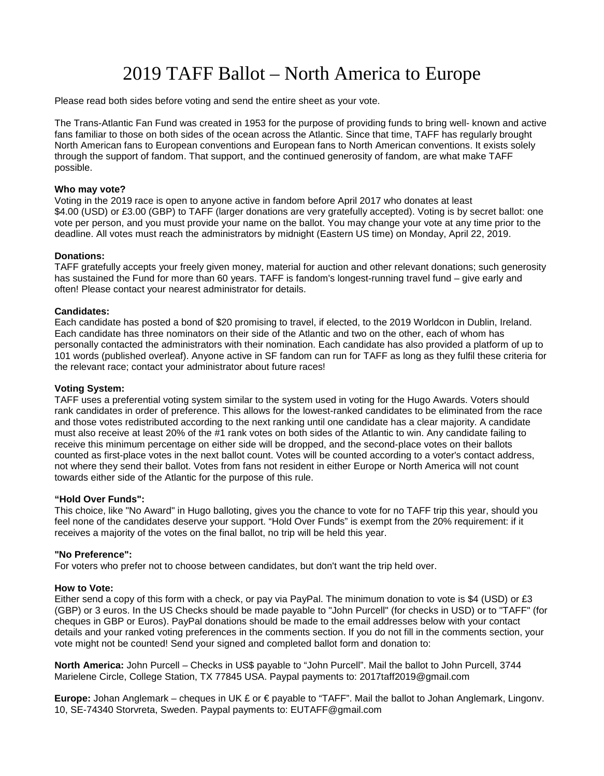# 2019 TAFF Ballot – North America to Europe

Please read both sides before voting and send the entire sheet as your vote.

The Trans-Atlantic Fan Fund was created in 1953 for the purpose of providing funds to bring well- known and active fans familiar to those on both sides of the ocean across the Atlantic. Since that time, TAFF has regularly brought North American fans to European conventions and European fans to North American conventions. It exists solely through the support of fandom. That support, and the continued generosity of fandom, are what make TAFF possible.

# **Who may vote?**

Voting in the 2019 race is open to anyone active in fandom before April 2017 who donates at least \$4.00 (USD) or £3.00 (GBP) to TAFF (larger donations are very gratefully accepted). Voting is by secret ballot: one vote per person, and you must provide your name on the ballot. You may change your vote at any time prior to the deadline. All votes must reach the administrators by midnight (Eastern US time) on Monday, April 22, 2019.

# **Donations:**

TAFF gratefully accepts your freely given money, material for auction and other relevant donations; such generosity has sustained the Fund for more than 60 years. TAFF is fandom's longest-running travel fund – give early and often! Please contact your nearest administrator for details.

# **Candidates:**

Each candidate has posted a bond of \$20 promising to travel, if elected, to the 2019 Worldcon in Dublin, Ireland. Each candidate has three nominators on their side of the Atlantic and two on the other, each of whom has personally contacted the administrators with their nomination. Each candidate has also provided a platform of up to 101 words (published overleaf). Anyone active in SF fandom can run for TAFF as long as they fulfil these criteria for the relevant race; contact your administrator about future races!

# **Voting System:**

TAFF uses a preferential voting system similar to the system used in voting for the Hugo Awards. Voters should rank candidates in order of preference. This allows for the lowest-ranked candidates to be eliminated from the race and those votes redistributed according to the next ranking until one candidate has a clear majority. A candidate must also receive at least 20% of the #1 rank votes on both sides of the Atlantic to win. Any candidate failing to receive this minimum percentage on either side will be dropped, and the second-place votes on their ballots counted as first-place votes in the next ballot count. Votes will be counted according to a voter's contact address, not where they send their ballot. Votes from fans not resident in either Europe or North America will not count towards either side of the Atlantic for the purpose of this rule.

# **"Hold Over Funds":**

This choice, like "No Award" in Hugo balloting, gives you the chance to vote for no TAFF trip this year, should you feel none of the candidates deserve your support. "Hold Over Funds" is exempt from the 20% requirement: if it receives a majority of the votes on the final ballot, no trip will be held this year.

# **"No Preference":**

For voters who prefer not to choose between candidates, but don't want the trip held over.

# **How to Vote:**

Either send a copy of this form with a check, or pay via PayPal. The minimum donation to vote is \$4 (USD) or £3 (GBP) or 3 euros. In the US Checks should be made payable to "John Purcell" (for checks in USD) or to "TAFF" (for cheques in GBP or Euros). PayPal donations should be made to the email addresses below with your contact details and your ranked voting preferences in the comments section. If you do not fill in the comments section, your vote might not be counted! Send your signed and completed ballot form and donation to:

**North America:** John Purcell – Checks in US\$ payable to "John Purcell". Mail the ballot to John Purcell, 3744 Marielene Circle, College Station, TX 77845 USA. Paypal payments to: 2017taff2019@gmail.com

**Europe:** Johan Anglemark – cheques in UK £ or € payable to "TAFF". Mail the ballot to Johan Anglemark, Lingonv. 10, SE-74340 Storvreta, Sweden. Paypal payments to: EUTAFF@gmail.com